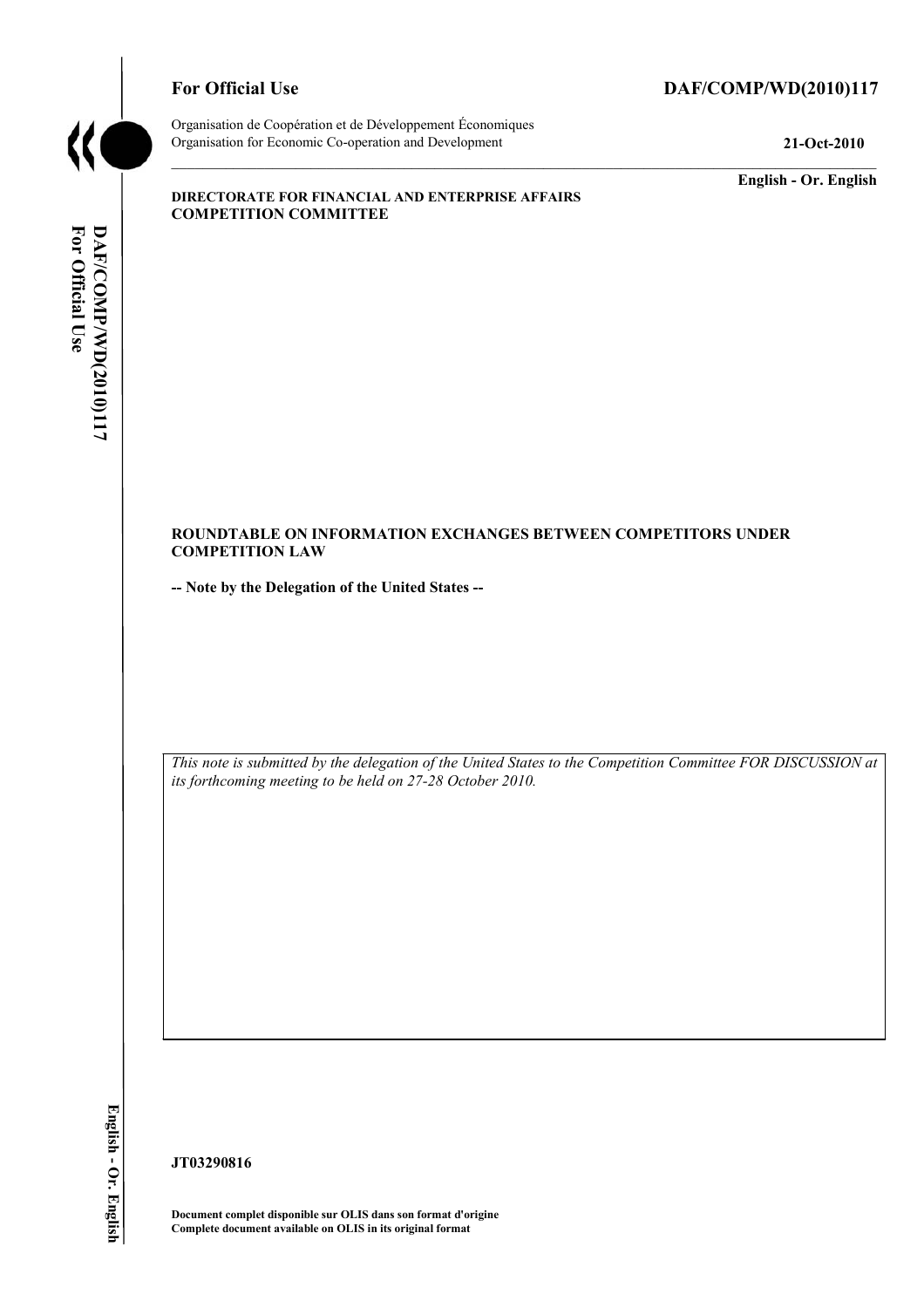

# For Official Use DAF/COMP/WD(2010)117

Organisation de Coopération et de Développement Économiques Organisation for Economic Co-operation and Development **21-Oct-2010** 

**English - Or. English** 

#### **DIRECTORATE FOR FINANCIAL AND ENTERPRISE AFFAIRS COMPETITION COMMITTEE**

#### **ROUNDTABLE ON INFORMATION EXCHANGES BETWEEN COMPETITORS UNDER COMPETITION LAW**

**-- Note by the Delegation of the United States --** 

 *This note is submitted by the delegation of the United States to the Competition Committee FOR DISCUSSION at its forthcoming meeting to be held on 27-28 October 2010.* 

English - Or. English

**JT03290816** 

 **Document complet disponible sur OLIS dans son format d'origine Complete document available on OLIS in its original format**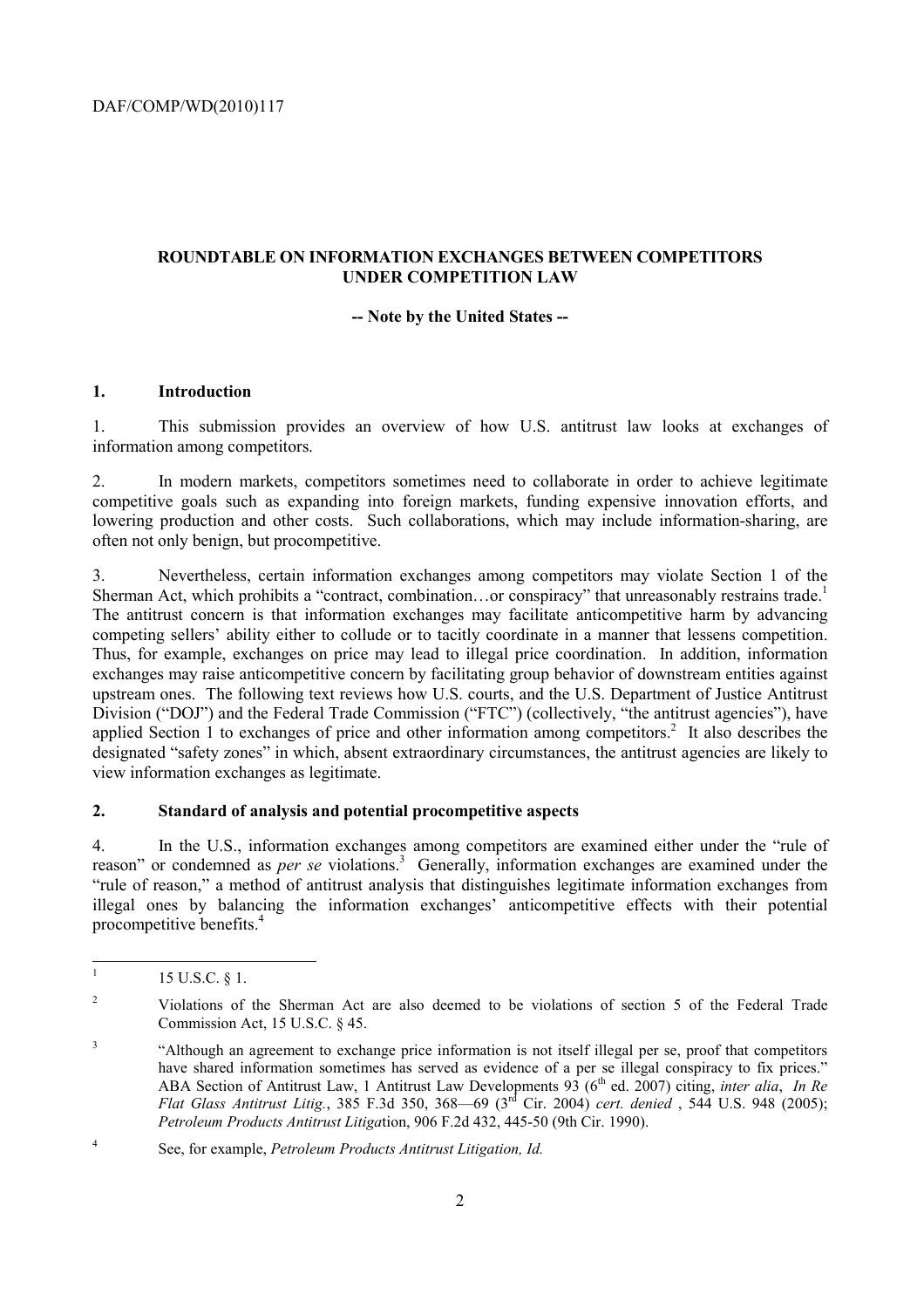# **ROUNDTABLE ON INFORMATION EXCHANGES BETWEEN COMPETITORS UNDER COMPETITION LAW**

# **-- Note by the United States --**

# **1. Introduction**

information among competitors. 1. This submission provides an overview of how U.S. antitrust law looks at exchanges of

2. In modern markets, competitors sometimes need to collaborate in order to achieve legitimate competitive goals such as expanding into foreign markets, funding expensive innovation efforts, and lowering production and other costs. Such collaborations, which may include information-sharing, are often not only benign, but procompetitive.

 competing sellers' ability either to collude or to tacitly coordinate in a manner that lessens competition. Thus, for example, exchanges on price may lead to illegal price coordination. In addition, information applied Section 1 to exchanges of price and other information among competitors.<sup>2</sup> It also describes the 3. Nevertheless, certain information exchanges among competitors may violate Section 1 of the Sherman Act, which prohibits a "contract, combination...or conspiracy" that unreasonably restrains trade.<sup>1</sup> The antitrust concern is that information exchanges may facilitate anticompetitive harm by advancing exchanges may raise anticompetitive concern by facilitating group behavior of downstream entities against upstream ones. The following text reviews how U.S. courts, and the U.S. Department of Justice Antitrust Division ("DOJ") and the Federal Trade Commission ("FTC") (collectively, "the antitrust agencies"), have designated "safety zones" in which, absent extraordinary circumstances, the antitrust agencies are likely to view information exchanges as legitimate.

#### **2. Standard of analysis and potential procompetitive aspects**

4. In the U.S., information exchanges among competitors are examined either under the "rule of reason" or condemned as *per se* violations.<sup>3</sup> Generally, information exchanges are examined under the "rule of reason," a method of antitrust analysis that distinguishes legitimate information exchanges from illegal ones by balancing the information exchanges' anticompetitive effects with their potential procompetitive benefits.4

 $\overline{a}$ 15 U.S.C. § 1.

 $\overline{\mathcal{L}}$ 2 Violations of the Sherman Act are also deemed to be violations of section 5 of the Federal Trade Commission Act, 15 U.S.C. § 45.

<sup>&</sup>lt;sup>3</sup> "Although an agreement to exchange price information is not itself illegal per se, proof that competitors have shared information sometimes has served as evidence of a per se illegal conspiracy to fix prices." ABA Section of Antitrust Law, 1 Antitrust Law Developments 93 (6<sup>th</sup> ed. 2007) citing, *inter alia*, *In Re Flat Glass Antitrust Litig.*, 385 F.3d 350, 368—69 (3rd Cir. 2004) *cert. denied* , 544 U.S. 948 (2005); *Petroleum Products Antitrust Litiga*tion, 906 F.2d 432, 445-50 (9th Cir. 1990).

 $\overline{4}$ 4 See, for example, *Petroleum Products Antitrust Litigation, Id.*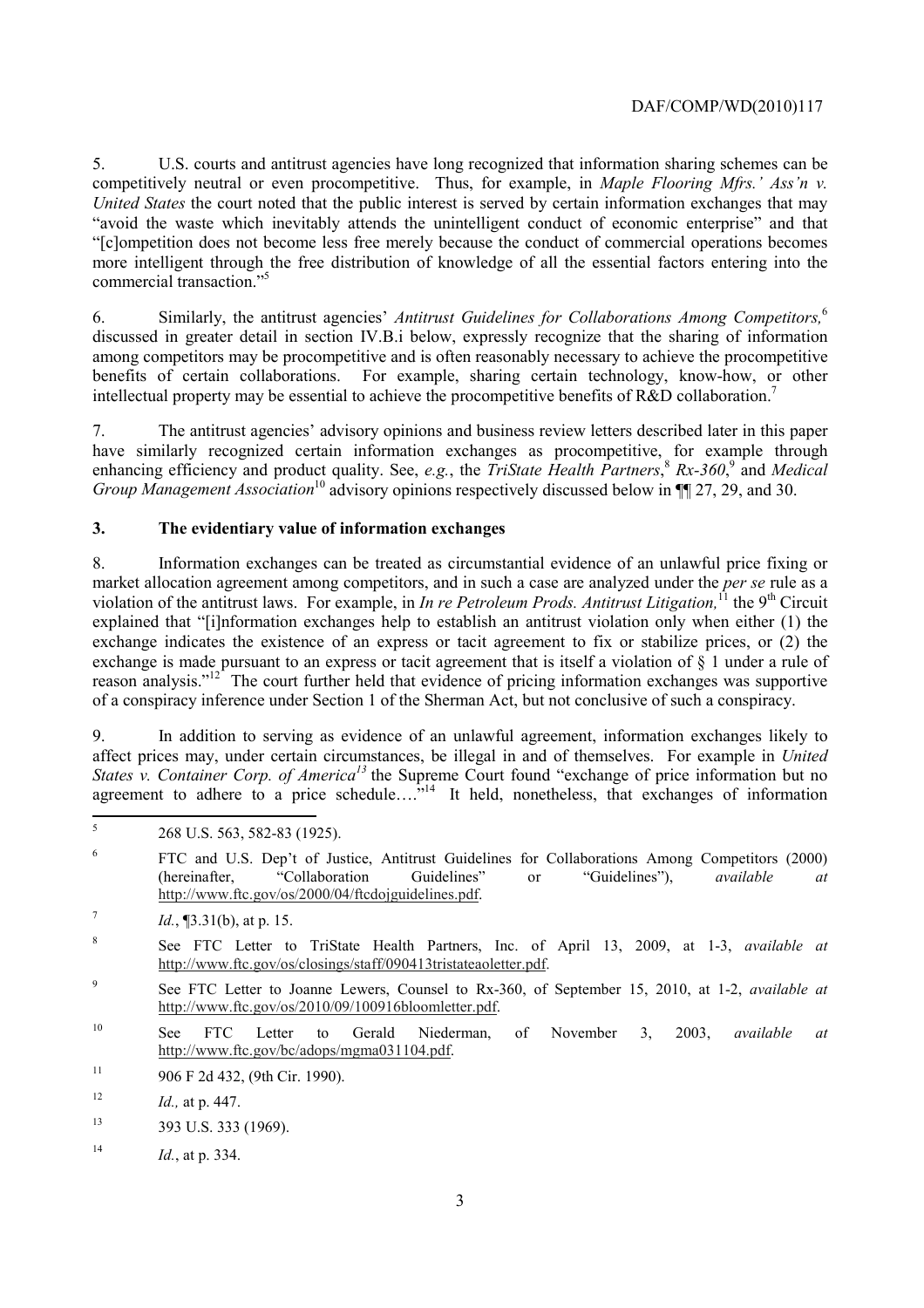commercial transaction."5 5. U.S. courts and antitrust agencies have long recognized that information sharing schemes can be competitively neutral or even procompetitive. Thus, for example, in *Maple Flooring Mfrs.' Ass'n v. United States* the court noted that the public interest is served by certain information exchanges that may "avoid the waste which inevitably attends the unintelligent conduct of economic enterprise" and that "[c]ompetition does not become less free merely because the conduct of commercial operations becomes more intelligent through the free distribution of knowledge of all the essential factors entering into the

6. Similarly, the antitrust agencies' *Antitrust Guidelines for Collaborations Among Competitors,*<sup>6</sup> discussed in greater detail in section IV.B.i below, expressly recognize that the sharing of information among competitors may be procompetitive and is often reasonably necessary to achieve the procompetitive benefits of certain collaborations. For example, sharing certain technology, know-how, or other intellectual property may be essential to achieve the procompetitive benefits of R&D collaboration.<sup>7</sup>

7. The antitrust agencies' advisory opinions and business review letters described later in this paper have similarly recognized certain information exchanges as procompetitive, for example through enhancing efficiency and product quality. See, *e.g.*, the *TriState Health Partners*,<sup>8</sup> Rx-360<sup>°</sup>, and *Medical Group Management Association*<sup>10</sup> advisory opinions respectively discussed below in ¶¶ 27, 29, and 30.

# **3. The evidentiary value of information exchanges**

 exchange indicates the existence of an express or tacit agreement to fix or stabilize prices, or (2) the 8. Information exchanges can be treated as circumstantial evidence of an unlawful price fixing or market allocation agreement among competitors, and in such a case are analyzed under the *per se* rule as a violation of the antitrust laws. For example, in *In re Petroleum Prods. Antitrust Litigation*,<sup>11</sup> the 9<sup>th</sup> Circuit explained that "[i]nformation exchanges help to establish an antitrust violation only when either (1) the exchange is made pursuant to an express or tacit agreement that is itself a violation of § 1 under a rule of reason analysis."<sup>12</sup> The court further held that evidence of pricing information exchanges was supportive of a conspiracy inference under Section 1 of the Sherman Act, but not conclusive of such a conspiracy.

agreement to adhere to a price schedule.... $^{5.14}$  It held, nonetheless, that exchanges of information 9. In addition to serving as evidence of an unlawful agreement, information exchanges likely to affect prices may, under certain circumstances, be illegal in and of themselves. For example in *United States v. Container Corp. of America<sup>13</sup>* the Supreme Court found "exchange of price information but no

- $\epsilon$ 6 FTC and U.S. Dep't of Justice, Antitrust Guidelines for Collaborations Among Competitors (2000) (hereinafter, "Collaboration Guidelines" or "Guidelines"), *available at*  http://www.ftc.gov/os/2000/04/ftcdojguidelines.pdf.
- $Id.$  **[3.31(b), at p. 15.**
- 8 See FTC Letter to TriState Health Partners, Inc. of April 13, 2009, at 1-3, *available at*  http://www.ftc.gov/os/closings/staff/090413tristateaoletter.pdf.
- 9 See FTC Letter to Joanne Lewers, Counsel to Rx-360, of September 15, 2010, at 1-2, *available at*  http://www.ftc.gov/os/2010/09/100916bloomletter.pdf.
- 10 See FTC Letter to Gerald Niederman, of November 3, 2003, *available at*  http://www.ftc.gov/bc/adops/mgma031104.pdf.
- 11 906 F 2d 432, (9th Cir. 1990).
- <sup>12</sup> *Id.*, at p. 447.
- 13 393 U.S. 333 (1969).
- <sup>14</sup> *Id.*, at p. 334.

 $\overline{5}$ 268 U.S. 563, 582-83 (1925).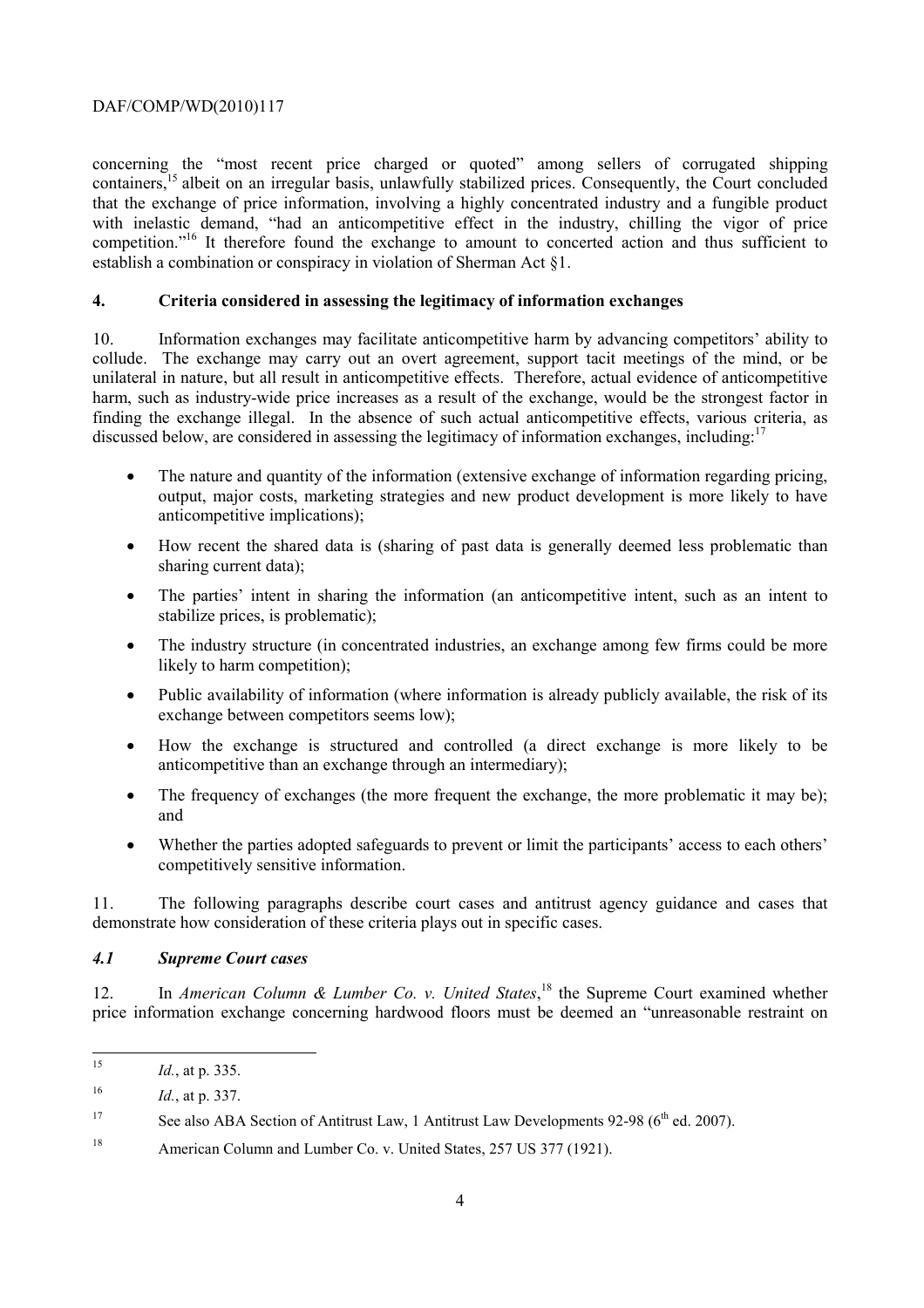concerning the "most recent price charged or quoted" among sellers of corrugated shipping containers,<sup>15</sup> albeit on an irregular basis, unlawfully stabilized prices. Consequently, the Court concluded that the exchange of price information, involving a highly concentrated industry and a fungible product with inelastic demand, "had an anticompetitive effect in the industry, chilling the vigor of price competition."16 It therefore found the exchange to amount to concerted action and thus sufficient to establish a combination or conspiracy in violation of Sherman Act §1.

# **4. Criteria considered in assessing the legitimacy of information exchanges**

discussed below, are considered in assessing the legitimacy of information exchanges, including:<sup>17</sup> 10. Information exchanges may facilitate anticompetitive harm by advancing competitors' ability to collude. The exchange may carry out an overt agreement, support tacit meetings of the mind, or be unilateral in nature, but all result in anticompetitive effects. Therefore, actual evidence of anticompetitive harm, such as industry-wide price increases as a result of the exchange, would be the strongest factor in finding the exchange illegal. In the absence of such actual anticompetitive effects, various criteria, as

- The nature and quantity of the information (extensive exchange of information regarding pricing, output, major costs, marketing strategies and new product development is more likely to have anticompetitive implications);
- sharing current data); • How recent the shared data is (sharing of past data is generally deemed less problematic than
- The parties' intent in sharing the information (an anticompetitive intent, such as an intent to stabilize prices, is problematic);
- The industry structure (in concentrated industries, an exchange among few firms could be more likely to harm competition);
- Public availability of information (where information is already publicly available, the risk of its exchange between competitors seems low);
- How the exchange is structured and controlled (a direct exchange is more likely to be anticompetitive than an exchange through an intermediary);
- The frequency of exchanges (the more frequent the exchange, the more problematic it may be); and
- Whether the parties adopted safeguards to prevent or limit the participants' access to each others' competitively sensitive information.

11. The following paragraphs describe court cases and antitrust agency guidance and cases that demonstrate how consideration of these criteria plays out in specific cases.

#### *4.1 Supreme Court cases*

12. In *American Column & Lumber Co. v. United States*, 18 the Supreme Court examined whether price information exchange concerning hardwood floors must be deemed an "unreasonable restraint on

*Id.*, at p. 335.

<sup>16</sup>*Id.*, at p. 337.

<sup>17</sup> See also ABA Section of Antitrust Law, 1 Antitrust Law Developments 92-98 ( $6<sup>th</sup>$  ed. 2007).

<sup>&</sup>lt;sup>18</sup> American Column and Lumber Co. v. United States, 257 US 377 (1921).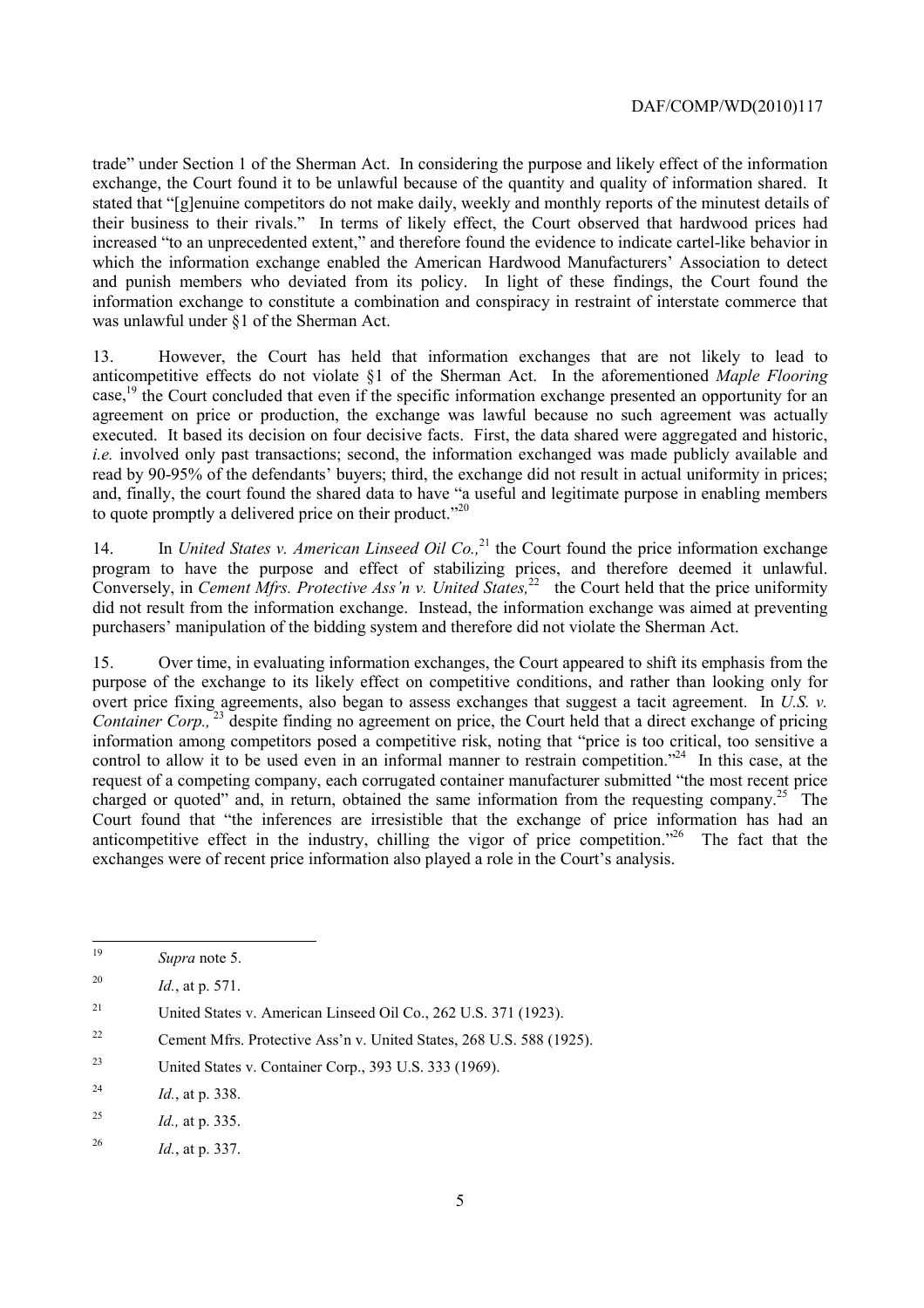trade" under Section 1 of the Sherman Act. In considering the purpose and likely effect of the information exchange, the Court found it to be unlawful because of the quantity and quality of information shared. It stated that "[g]enuine competitors do not make daily, weekly and monthly reports of the minutest details of their business to their rivals." In terms of likely effect, the Court observed that hardwood prices had increased "to an unprecedented extent," and therefore found the evidence to indicate cartel-like behavior in which the information exchange enabled the American Hardwood Manufacturers' Association to detect and punish members who deviated from its policy. In light of these findings, the Court found the information exchange to constitute a combination and conspiracy in restraint of interstate commerce that was unlawful under §1 of the Sherman Act.

13. However, the Court has held that information exchanges that are not likely to lead to anticompetitive effects do not violate §1 of the Sherman Act. In the aforementioned *Maple Flooring*  case,<sup>19</sup> the Court concluded that even if the specific information exchange presented an opportunity for an agreement on price or production, the exchange was lawful because no such agreement was actually executed. It based its decision on four decisive facts. First, the data shared were aggregated and historic, *i.e.* involved only past transactions; second, the information exchanged was made publicly available and read by 90-95% of the defendants' buyers; third, the exchange did not result in actual uniformity in prices; and, finally, the court found the shared data to have "a useful and legitimate purpose in enabling members to quote promptly a delivered price on their product."<sup>20</sup>

program to have the purpose and effect of stabilizing prices, and therefore deemed it unlawful. 14. In *United States v. American Linseed Oil Co.*<sup>21</sup> the Court found the price information exchange Conversely, in *Cement Mfrs. Protective Ass'n v. United States*,  $22$  the Court held that the price uniformity did not result from the information exchange. Instead, the information exchange was aimed at preventing purchasers' manipulation of the bidding system and therefore did not violate the Sherman Act.

control to allow it to be used even in an informal manner to restrain competition."<sup>24</sup> In this case, at the Court found that "the inferences are irresistible that the exchange of price information has had an 15. Over time, in evaluating information exchanges, the Court appeared to shift its emphasis from the purpose of the exchange to its likely effect on competitive conditions, and rather than looking only for overt price fixing agreements, also began to assess exchanges that suggest a tacit agreement. In *U.S. v. Container Corp.,* 23 despite finding no agreement on price, the Court held that a direct exchange of pricing information among competitors posed a competitive risk, noting that "price is too critical, too sensitive a request of a competing company, each corrugated container manufacturer submitted "the most recent price charged or quoted" and, in return, obtained the same information from the requesting company.<sup>25</sup> The anticompetitive effect in the industry, chilling the vigor of price competition.<sup> $26$ </sup> The fact that the exchanges were of recent price information also played a role in the Court's analysis.

- 22 Cement Mfrs. Protective Ass'n v. United States, 268 U.S. 588 (1925).
- $23$ United States v. Container Corp., 393 U.S. 333 (1969).
- <sup>24</sup>*Id.*, at p. 338.
- 25 <sup>25</sup>*Id.,* at p. 335.

 $19$ Supra note 5.

 $20$ <sup>20</sup>*Id.*, at p. 571.

 $21$ 21 United States v. American Linseed Oil Co., 262 U.S. 371 (1923).

<sup>26</sup>*Id.*, at p. 337.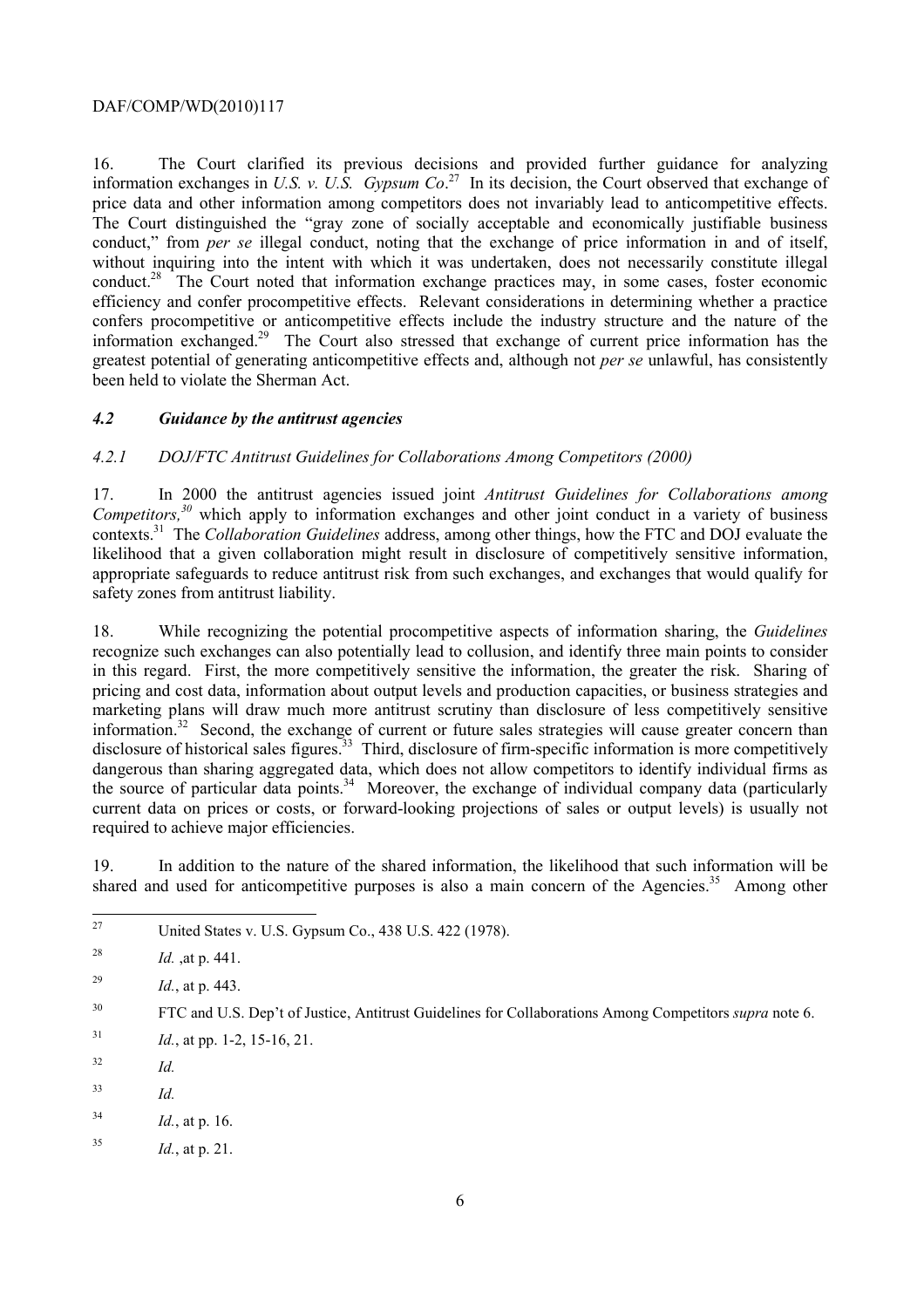information exchanges in *U.S. v. U.S. Gypsum Co*. 27 In its decision, the Court observed that exchange of price data and other information among competitors does not invariably lead to anticompetitive effects. conduct," from *per se* illegal conduct, noting that the exchange of price information in and of itself, information exchanged.<sup>29</sup> The Court also stressed that exchange of current price information has the 16. The Court clarified its previous decisions and provided further guidance for analyzing The Court distinguished the "gray zone of socially acceptable and economically justifiable business. without inquiring into the intent with which it was undertaken, does not necessarily constitute illegal conduct.28 The Court noted that information exchange practices may, in some cases, foster economic efficiency and confer procompetitive effects. Relevant considerations in determining whether a practice confers procompetitive or anticompetitive effects include the industry structure and the nature of the greatest potential of generating anticompetitive effects and, although not *per se* unlawful, has consistently been held to violate the Sherman Act.

# *4.2 Guidance by the antitrust agencies*

# *4.2.1 DOJ/FTC Antitrust Guidelines for Collaborations Among Competitors (2000)*

 contexts.31 The *Collaboration Guidelines* address, among other things, how the FTC and DOJ evaluate the safety zones from antitrust liability. 17. In 2000 the antitrust agencies issued joint *Antitrust Guidelines for Collaborations among Competitors,30* which apply to information exchanges and other joint conduct in a variety of business likelihood that a given collaboration might result in disclosure of competitively sensitive information, appropriate safeguards to reduce antitrust risk from such exchanges, and exchanges that would qualify for

disclosure of historical sales figures.<sup>33</sup> Third, disclosure of firm-specific information is more competitively the source of particular data points.<sup>34</sup> Moreover, the exchange of individual company data (particularly 18. While recognizing the potential procompetitive aspects of information sharing, the *Guidelines*  recognize such exchanges can also potentially lead to collusion, and identify three main points to consider in this regard. First, the more competitively sensitive the information, the greater the risk. Sharing of pricing and cost data, information about output levels and production capacities, or business strategies and marketing plans will draw much more antitrust scrutiny than disclosure of less competitively sensitive information.<sup>32</sup> Second, the exchange of current or future sales strategies will cause greater concern than dangerous than sharing aggregated data, which does not allow competitors to identify individual firms as current data on prices or costs, or forward-looking projections of sales or output levels) is usually not required to achieve major efficiencies.

19. In addition to the nature of the shared information, the likelihood that such information will be shared and used for anticompetitive purposes is also a main concern of the Agencies.<sup>35</sup> Among other

- United States v. U.S. Gypsum Co., 438 U.S. 422 (1978).
- <sup>28</sup>*Id.* ,at p. 441.
- <sup>29</sup>*Id.*, at p. 443.

- $1^{31}$  *Id.*, at pp. 1-2, 15-16, 21.
- 32 *Id.*

 $\overline{a}$ 

- 33 <sup>33</sup>*Id.*
- 34 <sup>34</sup>*Id.*, at p. 16.
- <sup>35</sup>*Id.*, at p. 21.

 $30$ 30 FTC and U.S. Dep't of Justice, Antitrust Guidelines for Collaborations Among Competitors *supra* note 6.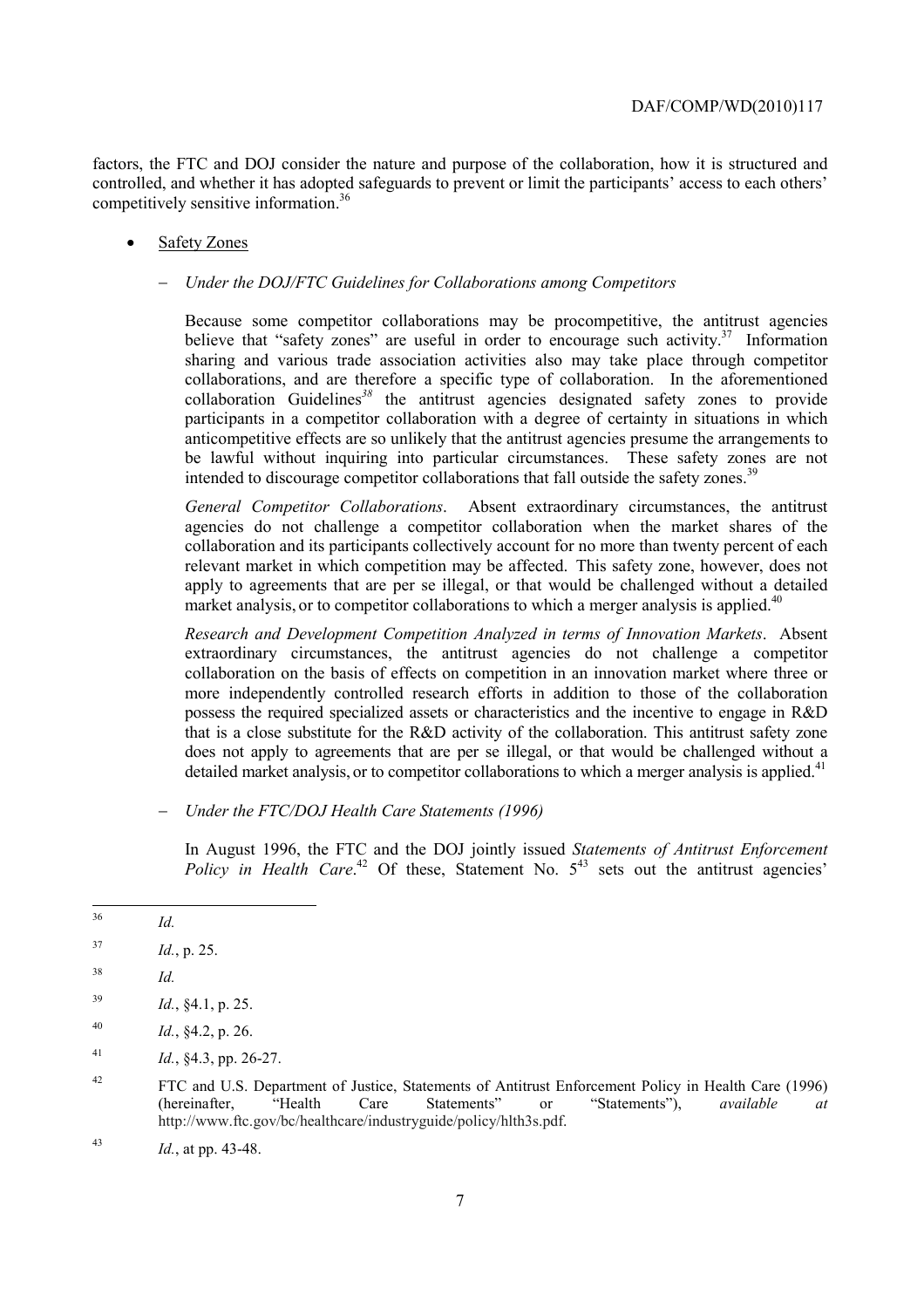competitively sensitive information.<sup>36</sup> factors, the FTC and DOJ consider the nature and purpose of the collaboration, how it is structured and controlled, and whether it has adopted safeguards to prevent or limit the participants' access to each others'

#### Safety Zones

#### − *Under the DOJ/FTC Guidelines for Collaborations among Competitors*

Because some competitor collaborations may be procompetitive, the antitrust agencies believe that "safety zones" are useful in order to encourage such activity.<sup>37</sup> Information sharing and various trade association activities also may take place through competitor collaborations, and are therefore a specific type of collaboration. In the aforementioned collaboration Guidelines*<sup>38</sup>* the antitrust agencies designated safety zones to provide participants in a competitor collaboration with a degree of certainty in situations in which anticompetitive effects are so unlikely that the antitrust agencies presume the arrangements to be lawful without inquiring into particular circumstances. These safety zones are not intended to discourage competitor collaborations that fall outside the safety zones.<sup>39</sup>

 relevant market in which competition may be affected. This safety zone, however, does not *General Competitor Collaborations*. Absent extraordinary circumstances, the antitrust agencies do not challenge a competitor collaboration when the market shares of the collaboration and its participants collectively account for no more than twenty percent of each apply to agreements that are per se illegal, or that would be challenged without a detailed market analysis, or to competitor collaborations to which a merger analysis is applied.<sup>40</sup>

*Research and Development Competition Analyzed in terms of Innovation Markets*. Absent extraordinary circumstances, the antitrust agencies do not challenge a competitor collaboration on the basis of effects on competition in an innovation market where three or more independently controlled research efforts in addition to those of the collaboration possess the required specialized assets or characteristics and the incentive to engage in R&D that is a close substitute for the R&D activity of the collaboration. This antitrust safety zone does not apply to agreements that are per se illegal, or that would be challenged without a detailed market analysis, or to competitor collaborations to which a merger analysis is applied.<sup>41</sup>

− *Under the FTC/DOJ Health Care Statements (1996)* 

In August 1996, the FTC and the DOJ jointly issued *Statements of Antitrust Enforcement Policy in Health Care*.<sup>42</sup> Of these, Statement No.  $5^{43}$  sets out the antitrust agencies'

 $\overline{36}$ *Id.* 

<sup>37</sup> <sup>37</sup>*Id.*, p. 25.

<sup>38</sup> *Id.* 

<sup>39</sup>*Id.*, §4.1, p. 25.

<sup>40</sup> Id., §4.2, p. 26.

 $1^{41}$  *Id.*, §4.3, pp. 26-27.

<sup>42</sup> 42 FTC and U.S. Department of Justice, Statements of Antitrust Enforcement Policy in Health Care (1996) (hereinafter, "Health Care Statements" or "Statements"), *available at*  http://www.ftc.gov/bc/healthcare/industryguide/policy/hlth3s.pdf.

<sup>43</sup>*Id.*, at pp. 43-48.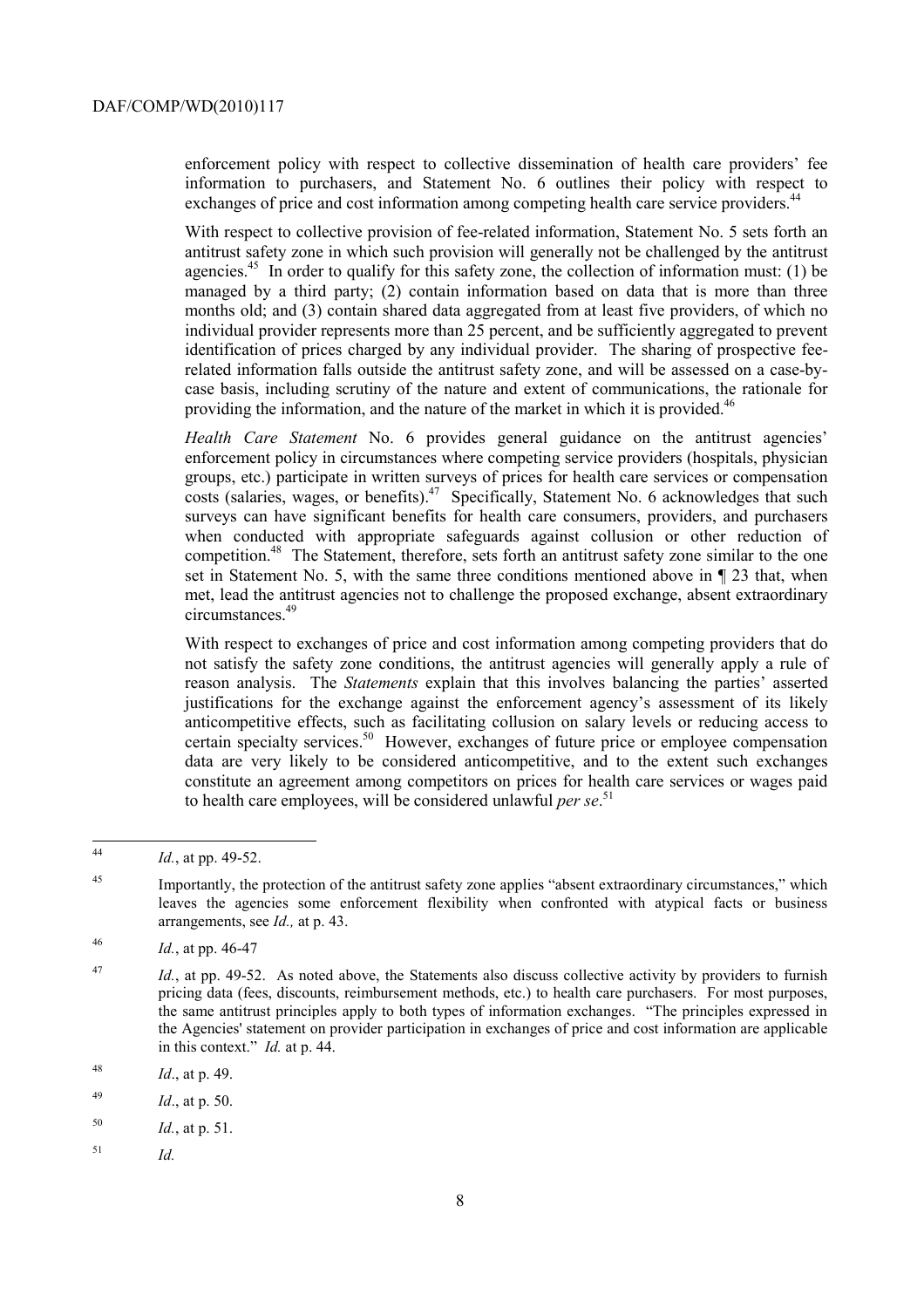exchanges of price and cost information among competing health care service providers.<sup>44</sup> enforcement policy with respect to collective dissemination of health care providers' fee information to purchasers, and Statement No. 6 outlines their policy with respect to

agencies.<sup>45</sup> In order to qualify for this safety zone, the collection of information must: (1) be managed by a third party; (2) contain information based on data that is more than three With respect to collective provision of fee-related information, Statement No. 5 sets forth an antitrust safety zone in which such provision will generally not be challenged by the antitrust months old; and (3) contain shared data aggregated from at least five providers, of which no individual provider represents more than 25 percent, and be sufficiently aggregated to prevent identification of prices charged by any individual provider. The sharing of prospective feerelated information falls outside the antitrust safety zone, and will be assessed on a case-bycase basis, including scrutiny of the nature and extent of communications, the rationale for providing the information, and the nature of the market in which it is provided.<sup>46</sup>

circumstances.<sup>49</sup> *Health Care Statement* No. 6 provides general guidance on the antitrust agencies' enforcement policy in circumstances where competing service providers (hospitals, physician groups, etc.) participate in written surveys of prices for health care services or compensation  $\frac{1}{\cosh(\theta)}$  costs (salaries, wages, or benefits).<sup>47</sup> Specifically, Statement No. 6 acknowledges that such surveys can have significant benefits for health care consumers, providers, and purchasers when conducted with appropriate safeguards against collusion or other reduction of competition.<sup>48</sup> The Statement, therefore, sets forth an antitrust safety zone similar to the one set in Statement No. 5, with the same three conditions mentioned above in ¶ 23 that, when met, lead the antitrust agencies not to challenge the proposed exchange, absent extraordinary

certain specialty services.<sup>50</sup> However, exchanges of future price or employee compensation With respect to exchanges of price and cost information among competing providers that do not satisfy the safety zone conditions, the antitrust agencies will generally apply a rule of reason analysis. The *Statements* explain that this involves balancing the parties' asserted justifications for the exchange against the enforcement agency's assessment of its likely anticompetitive effects, such as facilitating collusion on salary levels or reducing access to data are very likely to be considered anticompetitive, and to the extent such exchanges constitute an agreement among competitors on prices for health care services or wages paid to health care employees, will be considered unlawful *per se*. 51

<sup>44</sup> <sup>44</sup>*Id.*, at pp. 49-52.

 arrangements, see *Id.,* at p. 43. <sup>45</sup> Importantly, the protection of the antitrust safety zone applies "absent extraordinary circumstances," which leaves the agencies some enforcement flexibility when confronted with atypical facts or business

<sup>46</sup> <sup>46</sup>*Id.*, at pp. 46-47

 the same antitrust principles apply to both types of information exchanges. "The principles expressed in <sup>47</sup>*Id.*, at pp. 49-52. As noted above, the Statements also discuss collective activity by providers to furnish pricing data (fees, discounts, reimbursement methods, etc.) to health care purchasers. For most purposes, the Agencies' statement on provider participation in exchanges of price and cost information are applicable in this context." *Id.* at p. 44.

<sup>48</sup>*Id*., at p. 49.

<sup>49</sup> *Id.*, at p. 50.

<sup>50</sup>*Id.*, at p. 51.

<sup>51</sup>  $Id$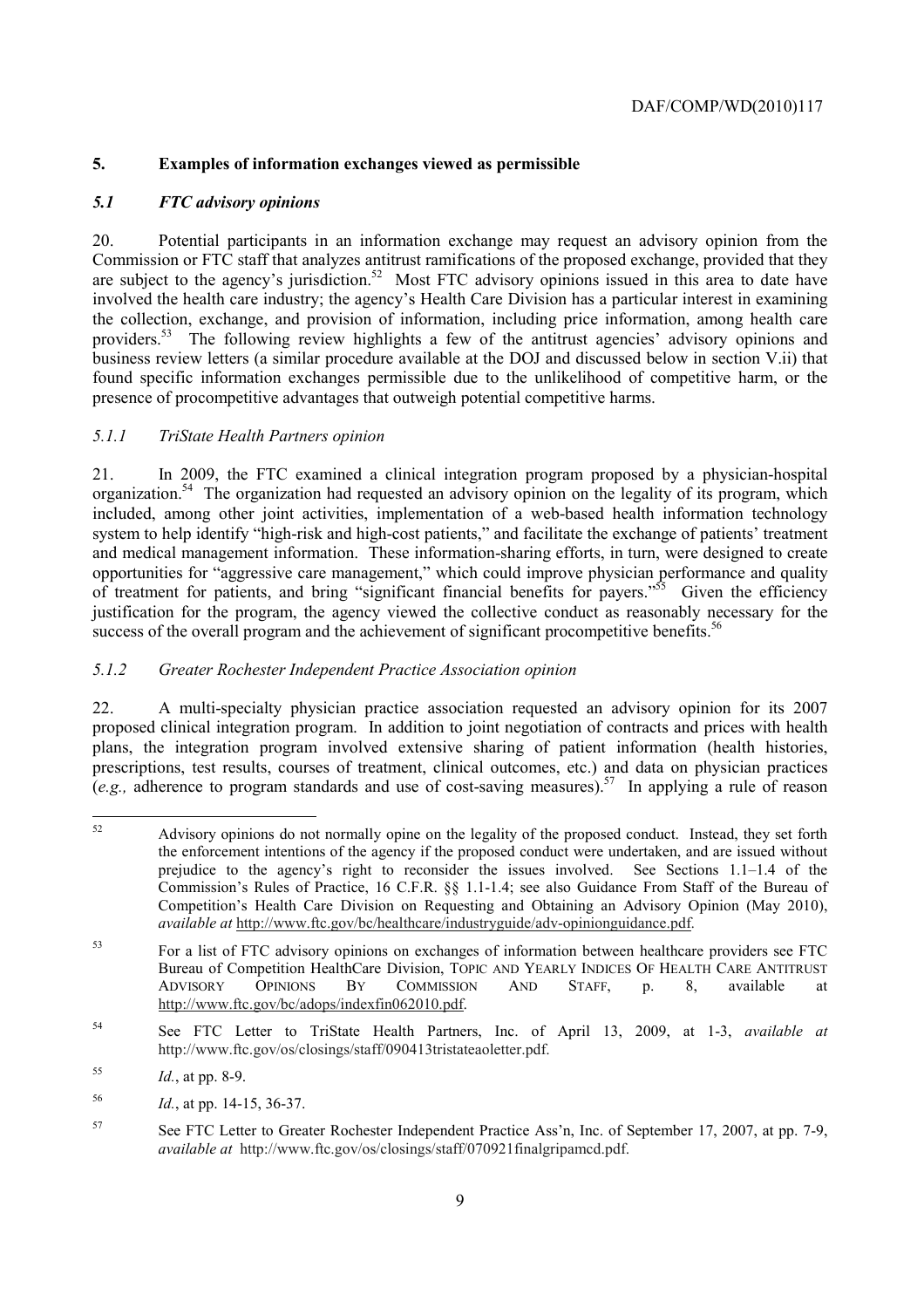# **5. Examples of information exchanges viewed as permissible**

# *5.1 FTC advisory opinions*

20. Potential participants in an information exchange may request an advisory opinion from the Commission or FTC staff that analyzes antitrust ramifications of the proposed exchange, provided that they are subject to the agency's jurisdiction.<sup>52</sup> Most FTC advisory opinions issued in this area to date have involved the health care industry; the agency's Health Care Division has a particular interest in examining the collection, exchange, and provision of information, including price information, among health care providers.<sup>53</sup> The following review highlights a few of the antitrust agencies' advisory opinions and business review letters (a similar procedure available at the DOJ and discussed below in section V.ii) that found specific information exchanges permissible due to the unlikelihood of competitive harm, or the presence of procompetitive advantages that outweigh potential competitive harms.

# *5.1.1 TriState Health Partners opinion*

 system to help identify "high-risk and high-cost patients," and facilitate the exchange of patients' treatment justification for the program, the agency viewed the collective conduct as reasonably necessary for the success of the overall program and the achievement of significant procompetitive benefits.<sup>56</sup> 21. In 2009, the FTC examined a clinical integration program proposed by a physician-hospital organization.54 The organization had requested an advisory opinion on the legality of its program, which included, among other joint activities, implementation of a web-based health information technology and medical management information. These information-sharing efforts, in turn, were designed to create opportunities for "aggressive care management," which could improve physician performance and quality of treatment for patients, and bring "significant financial benefits for payers."55 Given the efficiency

# *5.1.2 Greater Rochester Independent Practice Association opinion*

 proposed clinical integration program. In addition to joint negotiation of contracts and prices with health  $(e.g.,$  adherence to program standards and use of cost-saving measures).<sup>57</sup> In applying a rule of reason 22. A multi-specialty physician practice association requested an advisory opinion for its 2007 plans, the integration program involved extensive sharing of patient information (health histories, prescriptions, test results, courses of treatment, clinical outcomes, etc.) and data on physician practices

 $\overline{a}$ 

Advisory opinions do not normally opine on the legality of the proposed conduct. Instead, they set forth the enforcement intentions of the agency if the proposed conduct were undertaken, and are issued without prejudice to the agency's right to reconsider the issues involved. See Sections 1.1–1.4 of the Commission's Rules of Practice, 16 C.F.R. §§ 1.1-1.4; see also Guidance From Staff of the Bureau of Competition's Health Care Division on Requesting and Obtaining an Advisory Opinion (May 2010), *available at* http://www.ftc.gov/bc/healthcare/industryguide/adv-opinionguidance.pdf.

<sup>53</sup> For a list of FTC advisory opinions on exchanges of information between healthcare providers see FTC Bureau of Competition HealthCare Division, TOPIC AND YEARLY INDICES OF HEALTH CARE ANTITRUST ADVISORY OPINIONS BY COMMISSION AND STAFF, p. 8, available at http://www.ftc.gov/bc/adops/indexfin062010.pdf.

<sup>54</sup> 54 See FTC Letter to TriState Health Partners, Inc. of April 13, 2009, at 1-3, *available at*  http://www.ftc.gov/os/closings/staff/090413tristateaoletter.pdf.

<sup>55</sup> <sup>55</sup>*Id.*, at pp. 8-9.

<sup>56</sup> <sup>56</sup>*Id.*, at pp. 14-15, 36-37.

 *available at* http://www.ftc.gov/os/closings/staff/070921finalgripamcd.pdf. 57 See FTC Letter to Greater Rochester Independent Practice Ass'n, Inc. of September 17, 2007, at pp. 7-9,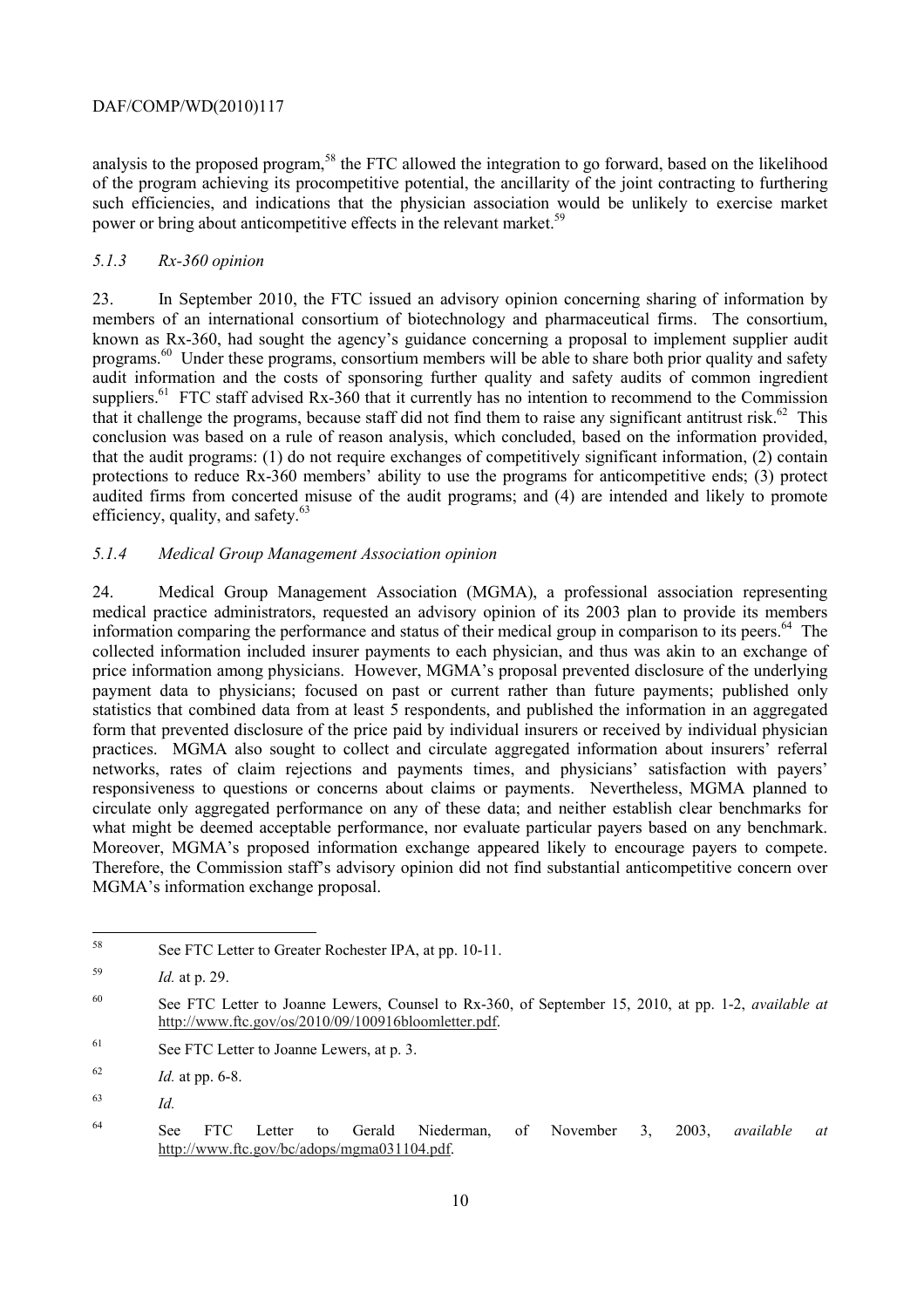analysis to the proposed program,<sup>58</sup> the FTC allowed the integration to go forward, based on the likelihood of the program achieving its procompetitive potential, the ancillarity of the joint contracting to furthering such efficiencies, and indications that the physician association would be unlikely to exercise market power or bring about anticompetitive effects in the relevant market.<sup>59</sup>

# *5.1.3 Rx-360 opinion*

that it challenge the programs, because staff did not find them to raise any significant antitrust risk.<sup>62</sup> This conclusion was based on a rule of reason analysis, which concluded, based on the information provided, 23. In September 2010, the FTC issued an advisory opinion concerning sharing of information by members of an international consortium of biotechnology and pharmaceutical firms. The consortium, known as Rx-360, had sought the agency's guidance concerning a proposal to implement supplier audit programs.60 Under these programs, consortium members will be able to share both prior quality and safety audit information and the costs of sponsoring further quality and safety audits of common ingredient suppliers.<sup>61</sup> FTC staff advised Rx-360 that it currently has no intention to recommend to the Commission that the audit programs: (1) do not require exchanges of competitively significant information, (2) contain protections to reduce Rx-360 members' ability to use the programs for anticompetitive ends; (3) protect audited firms from concerted misuse of the audit programs; and (4) are intended and likely to promote efficiency, quality, and safety.<sup>63</sup>

# *5.1.4 Medical Group Management Association opinion*

what might be deemed acceptable performance, nor evaluate particular payers based on any benchmark. 24. Medical Group Management Association (MGMA), a professional association representing medical practice administrators, requested an advisory opinion of its 2003 plan to provide its members information comparing the performance and status of their medical group in comparison to its peers.<sup>64</sup> The collected information included insurer payments to each physician, and thus was akin to an exchange of price information among physicians. However, MGMA's proposal prevented disclosure of the underlying payment data to physicians; focused on past or current rather than future payments; published only statistics that combined data from at least 5 respondents, and published the information in an aggregated form that prevented disclosure of the price paid by individual insurers or received by individual physician practices. MGMA also sought to collect and circulate aggregated information about insurers' referral networks, rates of claim rejections and payments times, and physicians' satisfaction with payers' responsiveness to questions or concerns about claims or payments. Nevertheless, MGMA planned to circulate only aggregated performance on any of these data; and neither establish clear benchmarks for what might be deemed acceptable performance, nor evaluate particular payers based on any benchmark.<br>Moreover, MGMA's proposed information exchange appeared likely to encourage payers to compete.<br>Therefore, the Commission s MGMA's information exchange proposal.

See FTC Letter to Greater Rochester IPA, at pp. 10-11.

 $\overline{a}$ 

<sup>59</sup> <sup>59</sup>*Id.* at p. 29.

<sup>60</sup> See FTC Letter to Joanne Lewers, Counsel to Rx-360, of September 15, 2010, at pp. 1-2, *available at*  http://www.ftc.gov/os/2010/09/100916bloomletter.pdf.

<sup>61</sup> See FTC Letter to Joanne Lewers, at p. 3.

<sup>62</sup>*Id.* at pp. 6-8.

<sup>63</sup>  $Id$ .

<sup>64</sup> See FTC Letter to Gerald Niederman, of November 3, 2003, *available at*  http://www.ftc.gov/bc/adops/mgma031104.pdf.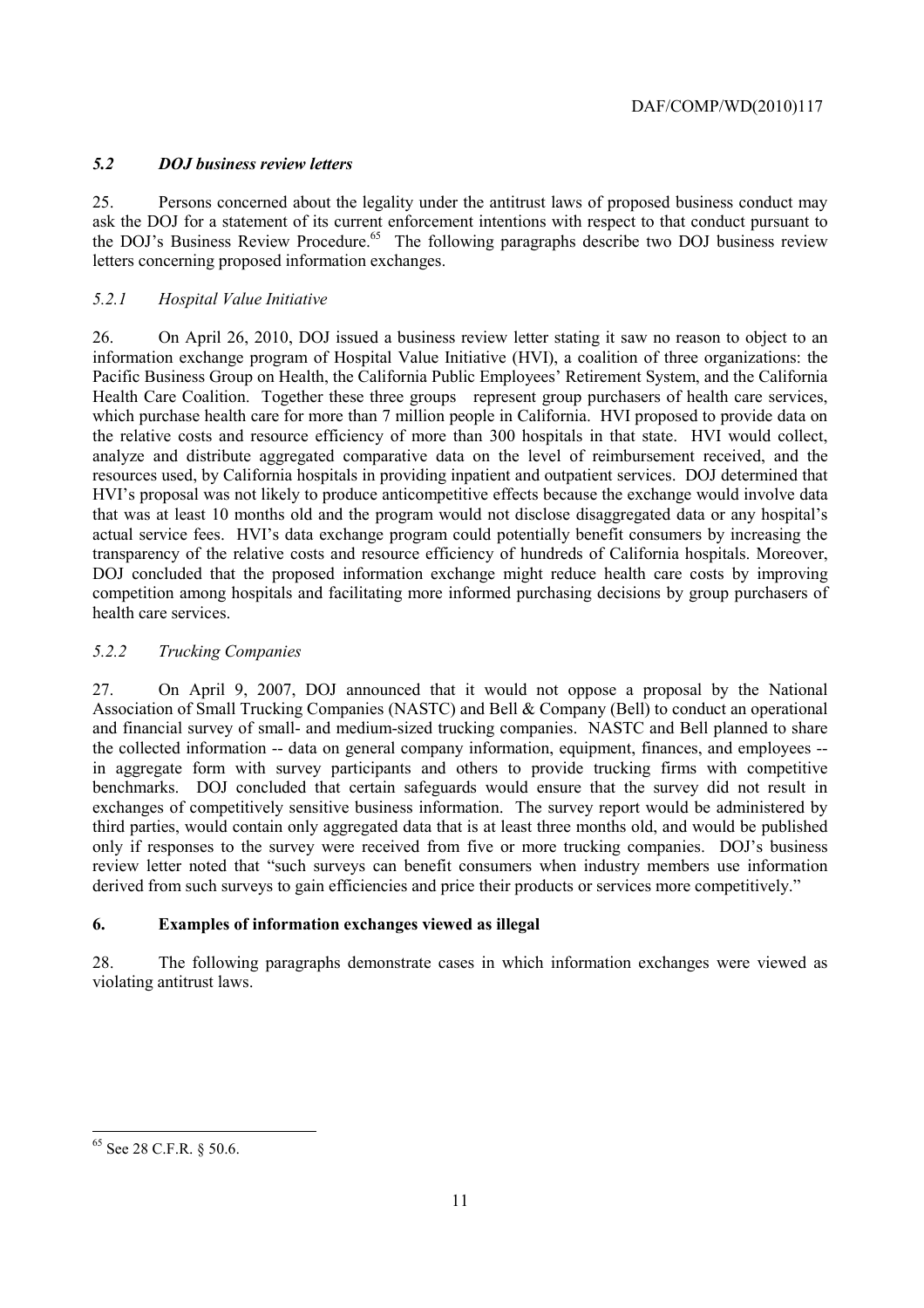# *5.2 DOJ business review letters*

the DOJ's Business Review Procedure.<sup>65</sup> The following paragraphs describe two DOJ business review 25. Persons concerned about the legality under the antitrust laws of proposed business conduct may ask the DOJ for a statement of its current enforcement intentions with respect to that conduct pursuant to letters concerning proposed information exchanges.

# *5.2.1 Hospital Value Initiative*

 26. On April 26, 2010, DOJ issued a business review letter stating it saw no reason to object to an information exchange program of Hospital Value Initiative (HVI), a coalition of three organizations: the Pacific Business Group on Health, the California Public Employees' Retirement System, and the California Health Care Coalition. Together these three groups represent group purchasers of health care services, which purchase health care for more than 7 million people in California. HVI proposed to provide data on the relative costs and resource efficiency of more than 300 hospitals in that state. HVI would collect, analyze and distribute aggregated comparative data on the level of reimbursement received, and the resources used, by California hospitals in providing inpatient and outpatient services. DOJ determined that HVI's proposal was not likely to produce anticompetitive effects because the exchange would involve data that was at least 10 months old and the program would not disclose disaggregated data or any hospital's actual service fees. HVI's data exchange program could potentially benefit consumers by increasing the transparency of the relative costs and resource efficiency of hundreds of California hospitals. Moreover, DOJ concluded that the proposed information exchange might reduce health care costs by improving competition among hospitals and facilitating more informed purchasing decisions by group purchasers of health care services.

# *5.2.2 Trucking Companies*

 27. On April 9, 2007, DOJ announced that it would not oppose a proposal by the National review letter noted that "such surveys can benefit consumers when industry members use information Association of Small Trucking Companies (NASTC) and Bell & Company (Bell) to conduct an operational and financial survey of small- and medium-sized trucking companies. NASTC and Bell planned to share the collected information -- data on general company information, equipment, finances, and employees - in aggregate form with survey participants and others to provide trucking firms with competitive benchmarks. DOJ concluded that certain safeguards would ensure that the survey did not result in exchanges of competitively sensitive business information. The survey report would be administered by third parties, would contain only aggregated data that is at least three months old, and would be published only if responses to the survey were received from five or more trucking companies. DOJ's business derived from such surveys to gain efficiencies and price their products or services more competitively."

# **6. Examples of information exchanges viewed as illegal**

28. The following paragraphs demonstrate cases in which information exchanges were viewed as violating antitrust laws.

 <sup>65</sup> See 28 C.F.R. § 50.6.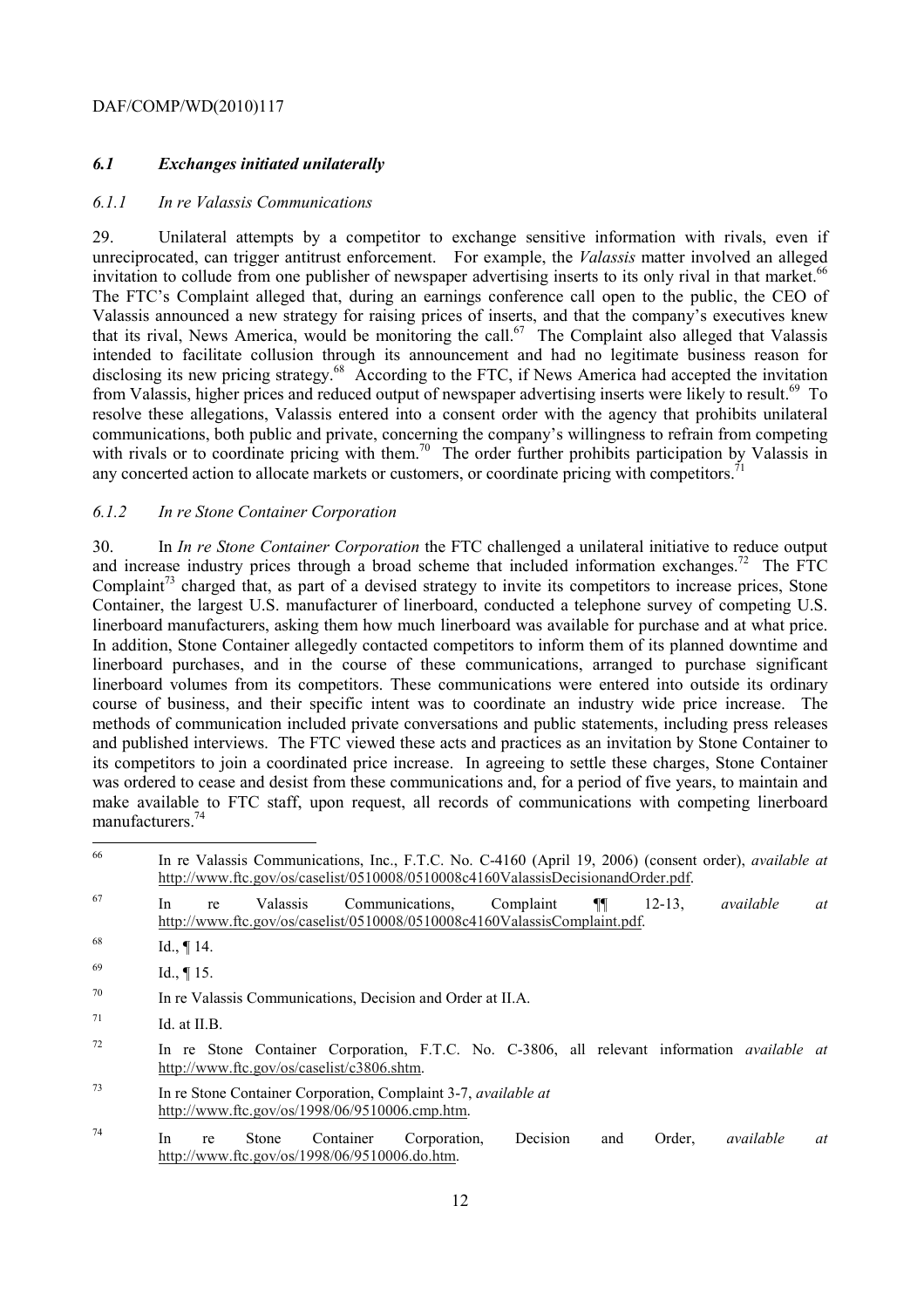# *6.1 Exchanges initiated unilaterally*

#### *6.1.1 In re Valassis Communications*

invitation to collude from one publisher of newspaper advertising inserts to its only rival in that market.<sup>66</sup> 29. Unilateral attempts by a competitor to exchange sensitive information with rivals, even if unreciprocated, can trigger antitrust enforcement. For example, the *Valassis* matter involved an alleged The FTC's Complaint alleged that, during an earnings conference call open to the public, the CEO of Valassis announced a new strategy for raising prices of inserts, and that the company's executives knew that its rival, News America, would be monitoring the call.<sup>67</sup> The Complaint also alleged that Valassis intended to facilitate collusion through its announcement and had no legitimate business reason for disclosing its new pricing strategy.<sup>68</sup> According to the FTC, if News America had accepted the invitation from Valassis, higher prices and reduced output of newspaper advertising inserts were likely to result.<sup>69</sup> To resolve these allegations, Valassis entered into a consent order with the agency that prohibits unilateral communications, both public and private, concerning the company's willingness to refrain from competing with rivals or to coordinate pricing with them.<sup>70</sup> The order further prohibits participation by Valassis in any concerted action to allocate markets or customers, or coordinate pricing with competitors.

#### *6.1.2 In re Stone Container Corporation*

 linerboard manufacturers, asking them how much linerboard was available for purchase and at what price. In addition, Stone Container allegedly contacted competitors to inform them of its planned downtime and manufacturers.<sup>74</sup> 30. In *In re Stone Container Corporation* the FTC challenged a unilateral initiative to reduce output and increase industry prices through a broad scheme that included information exchanges.<sup>72</sup> The FTC Complaint<sup>73</sup> charged that, as part of a devised strategy to invite its competitors to increase prices, Stone Container, the largest U.S. manufacturer of linerboard, conducted a telephone survey of competing U.S. linerboard purchases, and in the course of these communications, arranged to purchase significant linerboard volumes from its competitors. These communications were entered into outside its ordinary course of business, and their specific intent was to coordinate an industry wide price increase. The methods of communication included private conversations and public statements, including press releases and published interviews. The FTC viewed these acts and practices as an invitation by Stone Container to its competitors to join a coordinated price increase. In agreeing to settle these charges, Stone Container was ordered to cease and desist from these communications and, for a period of five years, to maintain and make available to FTC staff, upon request, all records of communications with competing linerboard

| 66 | In re Valassis Communications, Inc., F.T.C. No. C-4160 (April 19, 2006) (consent order), <i>available at</i><br>http://www.ftc.gov/os/caselist/0510008/0510008c4160ValassisDecisionandOrder.pdf. |    |
|----|--------------------------------------------------------------------------------------------------------------------------------------------------------------------------------------------------|----|
| 67 | Communications.<br>Complaint<br>¶¶<br>$12 - 13$ .<br>available<br><i>Valassis</i><br>In.<br>re<br>http://www.ftc.gov/os/caselist/0510008/0510008c4160ValassisComplaint.pdf.                      | at |
| 68 | Id., $\P$ 14.                                                                                                                                                                                    |    |
| 69 | Id., $\P$ 15.                                                                                                                                                                                    |    |
| 70 | In re Valassis Communications, Decision and Order at II.A.                                                                                                                                       |    |
| 71 | Id. at II.B.                                                                                                                                                                                     |    |
| 72 | In re Stone Container Corporation, F.T.C. No. C-3806, all relevant information <i>available at</i><br>http://www.ftc.gov/os/caselist/c3806.shtm.                                                 |    |
| 73 | In re Stone Container Corporation, Complaint 3-7, <i>available at</i><br>http://www.ftc.gov/os/1998/06/9510006.cmp.htm.                                                                          |    |
| 74 | Corporation.<br>Decision<br>Order.<br>available<br>In<br>Container<br>Stone<br>and<br>re<br>http://www.ftc.gov/os/1998/06/9510006.do.htm.                                                        | at |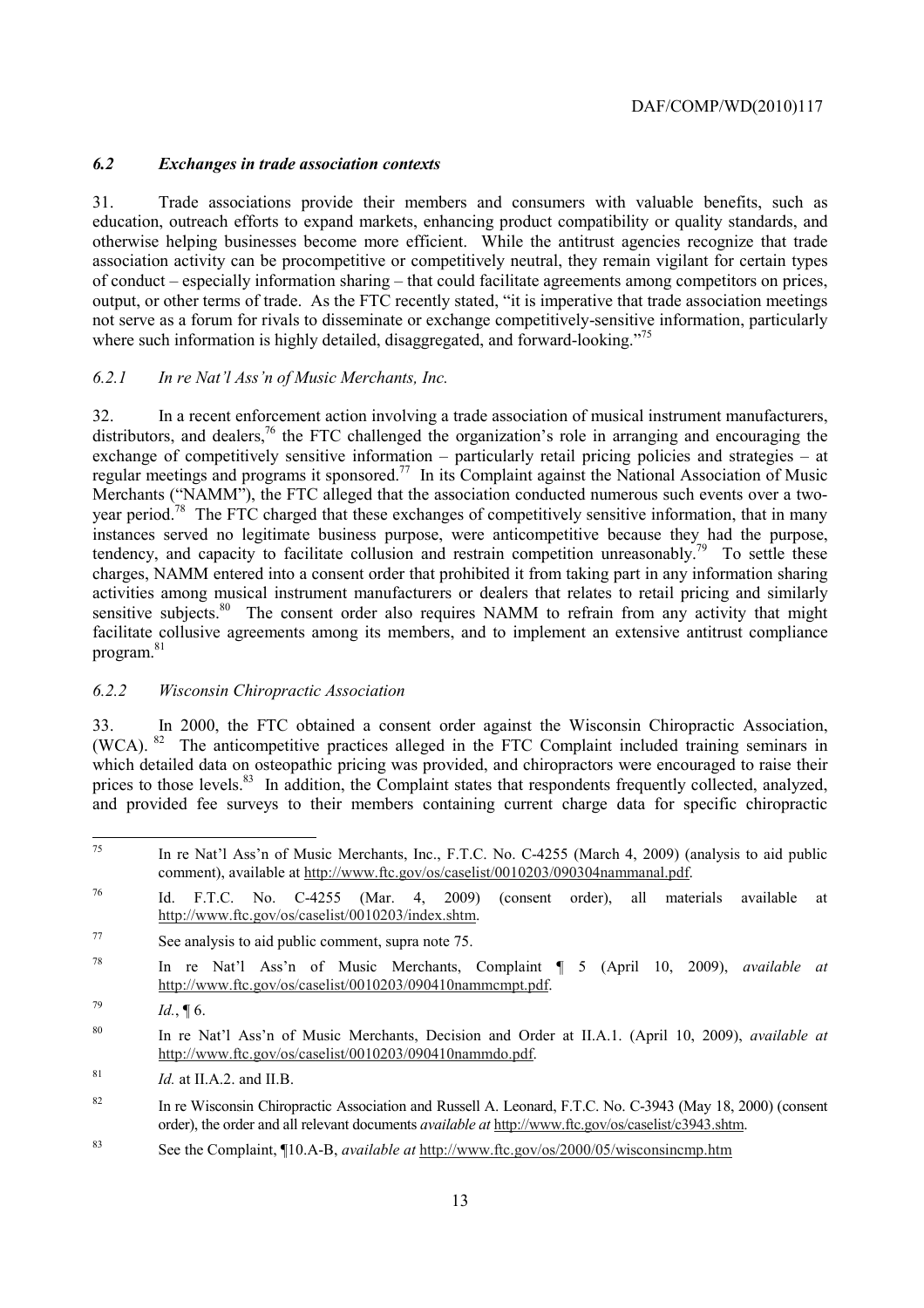# *6.2 Exchanges in trade association contexts*

where such information is highly detailed, disaggregated, and forward-looking."<sup>75</sup> 31. Trade associations provide their members and consumers with valuable benefits, such as education, outreach efforts to expand markets, enhancing product compatibility or quality standards, and otherwise helping businesses become more efficient. While the antitrust agencies recognize that trade association activity can be procompetitive or competitively neutral, they remain vigilant for certain types of conduct – especially information sharing – that could facilitate agreements among competitors on prices, output, or other terms of trade. As the FTC recently stated, "it is imperative that trade association meetings not serve as a forum for rivals to disseminate or exchange competitively-sensitive information, particularly

#### *6.2.1 In re Nat'l Ass'n of Music Merchants, Inc.*

regular meetings and programs it sponsored.<sup>77</sup> In its Complaint against the National Association of Music tendency, and capacity to facilitate collusion and restrain competition unreasonably.<sup>79</sup> To settle these sensitive subjects.<sup>80</sup> The consent order also requires NAMM to refrain from any activity that might program.<sup>81</sup> 32. In a recent enforcement action involving a trade association of musical instrument manufacturers, distributors, and dealers,<sup>76</sup> the FTC challenged the organization's role in arranging and encouraging the exchange of competitively sensitive information – particularly retail pricing policies and strategies – at Merchants ("NAMM"), the FTC alleged that the association conducted numerous such events over a twoyear period.<sup>78</sup> The FTC charged that these exchanges of competitively sensitive information, that in many instances served no legitimate business purpose, were anticompetitive because they had the purpose, charges, NAMM entered into a consent order that prohibited it from taking part in any information sharing activities among musical instrument manufacturers or dealers that relates to retail pricing and similarly facilitate collusive agreements among its members, and to implement an extensive antitrust compliance

#### *6.2.2 Wisconsin Chiropractic Association*

prices to those levels.<sup>83</sup> In addition, the Complaint states that respondents frequently collected, analyzed, 33. In 2000, the FTC obtained a consent order against the Wisconsin Chiropractic Association, (WCA). 82 The anticompetitive practices alleged in the FTC Complaint included training seminars in which detailed data on osteopathic pricing was provided, and chiropractors were encouraged to raise their and provided fee surveys to their members containing current charge data for specific chiropractic

83 See the Complaint, ¶10.A-B, *available at* http://www.ftc.gov/os/2000/05/wisconsincmp.htm

 $\overline{a}$  75 In re Nat'l Ass'n of Music Merchants, Inc., F.T.C. No. C-4255 (March 4, 2009) (analysis to aid public comment), available at http://www.ftc.gov/os/caselist/0010203/090304nammanal.pdf.

<sup>76</sup> 76 Id. F.T.C. No. C-4255 (Mar. 4, 2009) (consent order), all materials available at http://www.ftc.gov/os/caselist/0010203/index.shtm.

<sup>77</sup> See analysis to aid public comment, supra note 75.

<sup>78</sup> In re Nat'l Ass'n of Music Merchants, Complaint ¶ 5 (April 10, 2009), *available at*  http://www.ftc.gov/os/caselist/0010203/090410nammcmpt.pdf.

 $Id., \P 6.$ 

<sup>80</sup> In re Nat'l Ass'n of Music Merchants, Decision and Order at II.A.1. (April 10, 2009), *available at*  http://www.ftc.gov/os/caselist/0010203/090410nammdo.pdf.

 $1d.$  at II.A.2. and II.B.

<sup>&</sup>lt;sup>82</sup> In re Wisconsin Chiropractic Association and Russell A. Leonard, F.T.C. No. C-3943 (May 18, 2000) (consent order), the order and all relevant documents *available at* http://www.ftc.gov/os/caselist/c3943.shtm.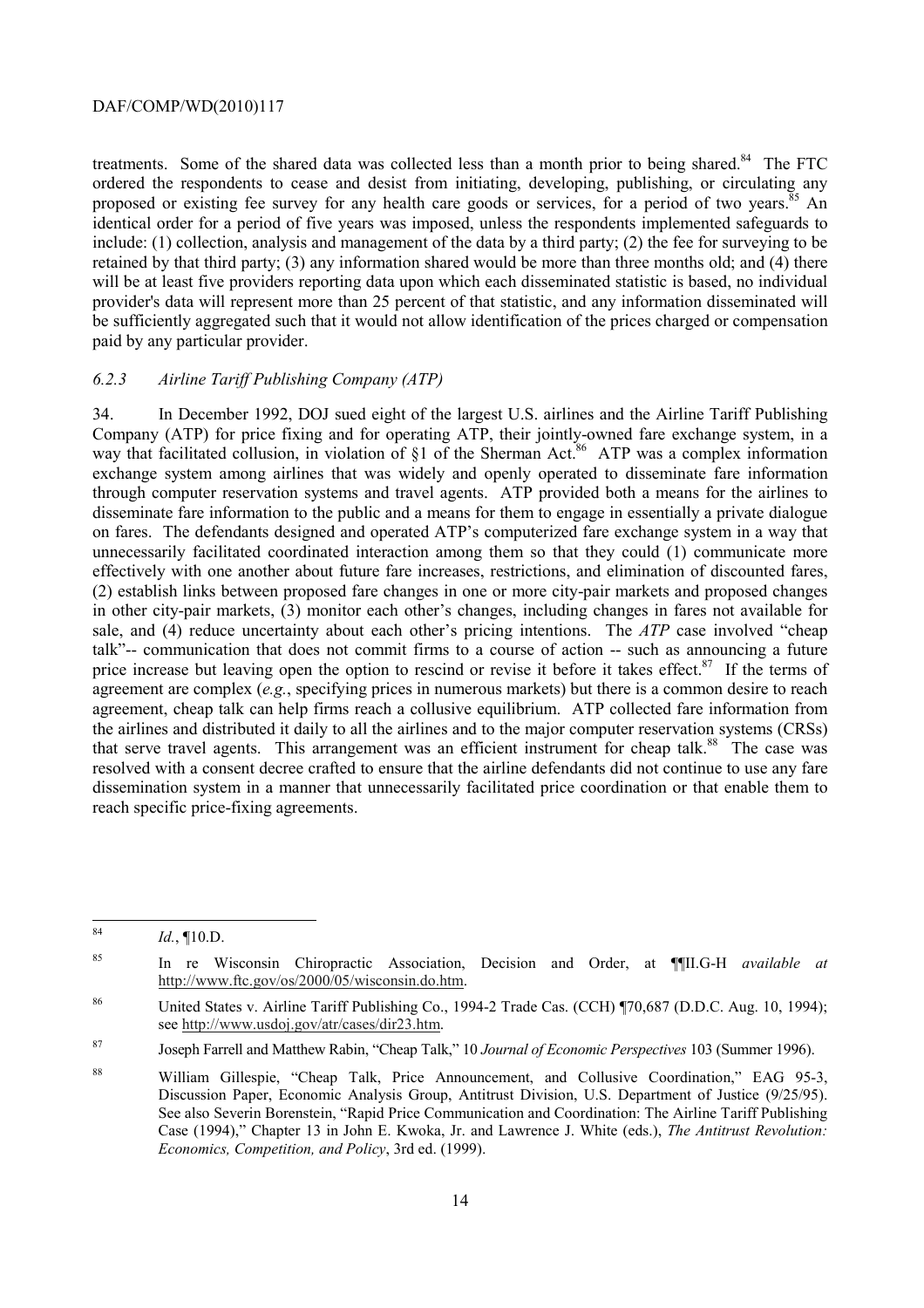treatments. Some of the shared data was collected less than a month prior to being shared.<sup>84</sup> The FTC identical order for a period of five years was imposed, unless the respondents implemented safeguards to ordered the respondents to cease and desist from initiating, developing, publishing, or circulating any proposed or existing fee survey for any health care goods or services, for a period of two years.<sup>85</sup> An include: (1) collection, analysis and management of the data by a third party; (2) the fee for surveying to be retained by that third party; (3) any information shared would be more than three months old; and (4) there will be at least five providers reporting data upon which each disseminated statistic is based, no individual provider's data will represent more than 25 percent of that statistic, and any information disseminated will be sufficiently aggregated such that it would not allow identification of the prices charged or compensation paid by any particular provider.

#### *6.2.3 Airline Tariff Publishing Company (ATP)*

 through computer reservation systems and travel agents. ATP provided both a means for the airlines to 34. In December 1992, DOJ sued eight of the largest U.S. airlines and the Airline Tariff Publishing Company (ATP) for price fixing and for operating ATP, their jointly-owned fare exchange system, in a way that facilitated collusion, in violation of  $\S1$  of the Sherman Act.<sup>86</sup> ATP was a complex information exchange system among airlines that was widely and openly operated to disseminate fare information disseminate fare information to the public and a means for them to engage in essentially a private dialogue on fares. The defendants designed and operated ATP's computerized fare exchange system in a way that unnecessarily facilitated coordinated interaction among them so that they could (1) communicate more effectively with one another about future fare increases, restrictions, and elimination of discounted fares, (2) establish links between proposed fare changes in one or more city-pair markets and proposed changes in other city-pair markets, (3) monitor each other's changes, including changes in fares not available for sale, and (4) reduce uncertainty about each other's pricing intentions. The *ATP* case involved "cheap talk"-- communication that does not commit firms to a course of action -- such as announcing a future price increase but leaving open the option to rescind or revise it before it takes effect. $87$  If the terms of agreement are complex (*e.g.*, specifying prices in numerous markets) but there is a common desire to reach agreement, cheap talk can help firms reach a collusive equilibrium. ATP collected fare information from the airlines and distributed it daily to all the airlines and to the major computer reservation systems (CRSs) that serve travel agents. This arrangement was an efficient instrument for cheap talk.<sup>88</sup> The case was resolved with a consent decree crafted to ensure that the airline defendants did not continue to use any fare dissemination system in a manner that unnecessarily facilitated price coordination or that enable them to reach specific price-fixing agreements.

 $84$ <sup>84</sup>*Id.*, ¶10.D.

<sup>85</sup> In re Wisconsin Chiropractic Association, Decision and Order, at ¶¶II.G-H *available at*  http://www.ftc.gov/os/2000/05/wisconsin.do.htm.

<sup>86</sup> United States v. Airline Tariff Publishing Co., 1994-2 Trade Cas. (CCH) ¶70,687 (D.D.C. Aug. 10, 1994); see http://www.usdoj.gov/atr/cases/dir23.htm.

 87 Joseph Farrell and Matthew Rabin, "Cheap Talk," 10 *Journal of Economic Perspectives* 103 (Summer 1996).

Discussion Paper, Economic Analysis Group, Antitrust Division, U.S. Department of Justice (9/25/95). 88 William Gillespie, "Cheap Talk, Price Announcement, and Collusive Coordination," EAG 95-3, See also Severin Borenstein, "Rapid Price Communication and Coordination: The Airline Tariff Publishing Case (1994)," Chapter 13 in John E. Kwoka, Jr. and Lawrence J. White (eds.), *The Antitrust Revolution: Economics, Competition, and Policy*, 3rd ed. (1999).